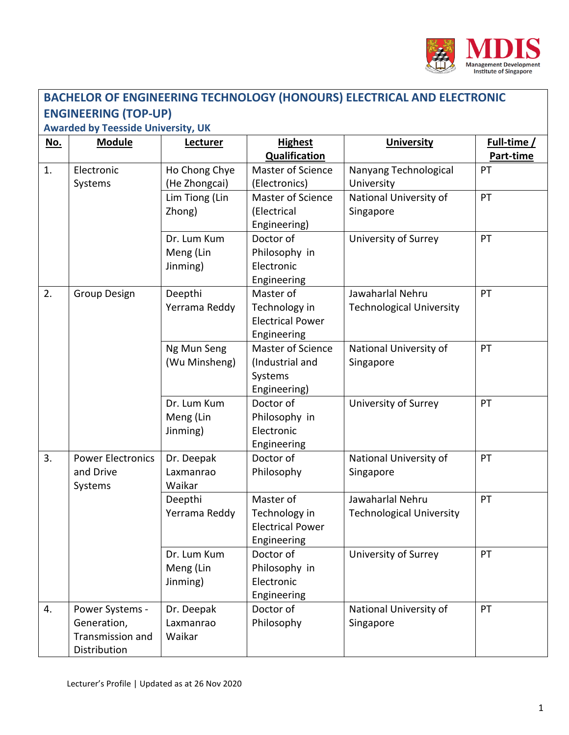

| <b>BACHELOR OF ENGINEERING TECHNOLOGY (HONOURS) ELECTRICAL AND ELECTRONIC</b> |                                                                    |                                      |                                                                      |                                                     |                          |  |  |  |  |
|-------------------------------------------------------------------------------|--------------------------------------------------------------------|--------------------------------------|----------------------------------------------------------------------|-----------------------------------------------------|--------------------------|--|--|--|--|
| <b>ENGINEERING (TOP-UP)</b>                                                   |                                                                    |                                      |                                                                      |                                                     |                          |  |  |  |  |
| <b>Awarded by Teesside University, UK</b>                                     |                                                                    |                                      |                                                                      |                                                     |                          |  |  |  |  |
| <u>No.</u>                                                                    | <b>Module</b>                                                      | Lecturer                             | <b>Highest</b><br><b>Qualification</b>                               | <b>University</b>                                   | Full-time /<br>Part-time |  |  |  |  |
| 1.                                                                            | Electronic<br>Systems                                              | Ho Chong Chye<br>(He Zhongcai)       | <b>Master of Science</b><br>(Electronics)                            | Nanyang Technological<br>University                 | PT                       |  |  |  |  |
|                                                                               |                                                                    | Lim Tiong (Lin<br>Zhong)             | Master of Science<br>(Electrical<br>Engineering)                     | National University of<br>Singapore                 | PT                       |  |  |  |  |
|                                                                               |                                                                    | Dr. Lum Kum<br>Meng (Lin<br>Jinming) | Doctor of<br>Philosophy in<br>Electronic<br>Engineering              | University of Surrey                                | PT                       |  |  |  |  |
| 2.                                                                            | <b>Group Design</b>                                                | Deepthi<br>Yerrama Reddy             | Master of<br>Technology in<br><b>Electrical Power</b><br>Engineering | Jawaharlal Nehru<br><b>Technological University</b> | PT                       |  |  |  |  |
|                                                                               |                                                                    | Ng Mun Seng<br>(Wu Minsheng)         | Master of Science<br>(Industrial and<br>Systems<br>Engineering)      | National University of<br>Singapore                 | PT                       |  |  |  |  |
|                                                                               |                                                                    | Dr. Lum Kum<br>Meng (Lin<br>Jinming) | Doctor of<br>Philosophy in<br>Electronic<br>Engineering              | University of Surrey                                | PT                       |  |  |  |  |
| 3.                                                                            | <b>Power Electronics</b><br>and Drive<br>Systems                   | Dr. Deepak<br>Laxmanrao<br>Waikar    | Doctor of<br>Philosophy                                              | National University of<br>Singapore                 | PT                       |  |  |  |  |
|                                                                               |                                                                    | Deepthi<br>Yerrama Reddy             | Master of<br>Technology in<br><b>Electrical Power</b><br>Engineering | Jawaharlal Nehru<br><b>Technological University</b> | PT                       |  |  |  |  |
|                                                                               |                                                                    | Dr. Lum Kum<br>Meng (Lin<br>Jinming) | Doctor of<br>Philosophy in<br>Electronic<br>Engineering              | University of Surrey                                | PT                       |  |  |  |  |
| 4.                                                                            | Power Systems -<br>Generation,<br>Transmission and<br>Distribution | Dr. Deepak<br>Laxmanrao<br>Waikar    | Doctor of<br>Philosophy                                              | National University of<br>Singapore                 | PT                       |  |  |  |  |